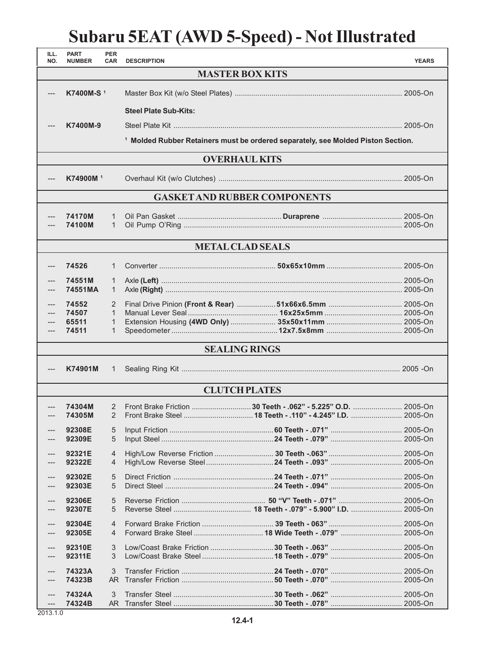## **Subaru 5EAT (AWD 5-Speed) - Not Illustrated**

| ILL.<br>NO.                         | <b>PART</b><br><b>NUMBER</b> | <b>PER</b><br><b>CAR</b> | <b>DESCRIPTION</b>           |                                                                                             | <b>YEARS</b> |  |  |  |
|-------------------------------------|------------------------------|--------------------------|------------------------------|---------------------------------------------------------------------------------------------|--------------|--|--|--|
| <b>MASTER BOX KITS</b>              |                              |                          |                              |                                                                                             |              |  |  |  |
| ---                                 | K7400M-S <sup>1</sup>        |                          |                              |                                                                                             |              |  |  |  |
|                                     |                              |                          | <b>Steel Plate Sub-Kits:</b> |                                                                                             |              |  |  |  |
|                                     | K7400M-9                     |                          |                              |                                                                                             |              |  |  |  |
|                                     |                              |                          |                              | <sup>1</sup> Molded Rubber Retainers must be ordered separately, see Molded Piston Section. |              |  |  |  |
| <b>OVERHAUL KITS</b>                |                              |                          |                              |                                                                                             |              |  |  |  |
|                                     | K74900M <sup>1</sup>         |                          |                              |                                                                                             |              |  |  |  |
| <b>GASKET AND RUBBER COMPONENTS</b> |                              |                          |                              |                                                                                             |              |  |  |  |
|                                     | 74170M<br>74100M             | 1<br>1                   |                              |                                                                                             |              |  |  |  |
| <b>METAL CLAD SEALS</b>             |                              |                          |                              |                                                                                             |              |  |  |  |
| ---                                 | 74526                        | 1                        |                              |                                                                                             |              |  |  |  |
|                                     | 74551M<br>74551MA            | 1<br>1                   |                              |                                                                                             |              |  |  |  |
| ---                                 | 74552                        | 2<br>$\mathbf{1}$        |                              |                                                                                             |              |  |  |  |
|                                     | 74507<br>65511               | 1                        |                              |                                                                                             |              |  |  |  |
| ---                                 | 74511                        | 1                        |                              |                                                                                             |              |  |  |  |
| <b>SEALING RINGS</b>                |                              |                          |                              |                                                                                             |              |  |  |  |
| ---                                 | K74901M                      | 1                        |                              |                                                                                             |              |  |  |  |
| <b>CLUTCH PLATES</b>                |                              |                          |                              |                                                                                             |              |  |  |  |
| ---                                 | 74304M<br>74305M             | 2                        |                              | Front Brake Friction 30 Teeth - .062" - 5.225" O.D.  2005-On                                |              |  |  |  |
|                                     | 92308E<br>92309E             | 5<br>5                   |                              |                                                                                             |              |  |  |  |
|                                     | 92321E<br>92322E             | $\overline{4}$<br>4      |                              |                                                                                             |              |  |  |  |
|                                     | 92302E<br>92303E             | 5<br>5                   |                              |                                                                                             |              |  |  |  |
| $---$                               | 92306E<br>92307E             | 5<br>5                   |                              |                                                                                             |              |  |  |  |
| ---                                 | 92304E<br>92305E             | 4<br>4                   |                              |                                                                                             |              |  |  |  |
| ---                                 | 92310E<br>92311E             | $\mathfrak{Z}$<br>3      |                              |                                                                                             |              |  |  |  |
| ---                                 | 74323A<br>74323B             | 3<br>AR.                 |                              |                                                                                             |              |  |  |  |
|                                     | 74324A<br>74324B             | 3<br>AR.                 |                              |                                                                                             |              |  |  |  |